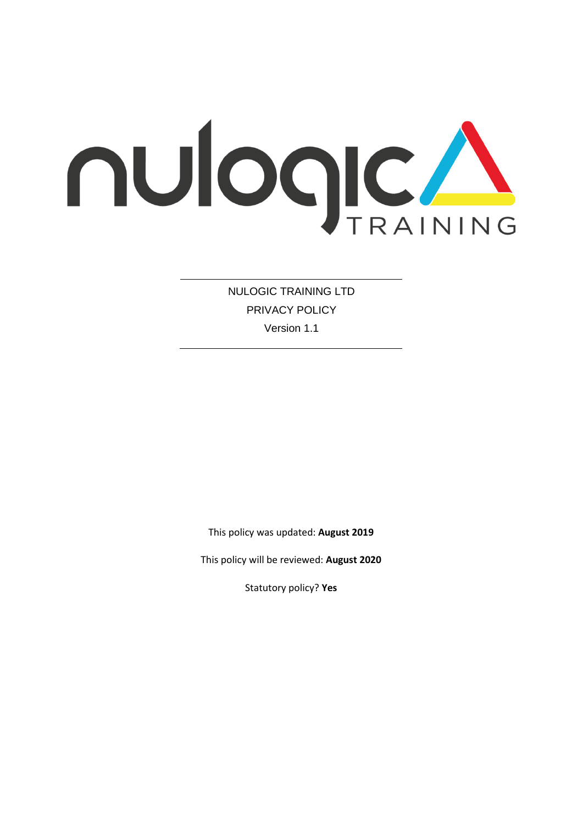

NULOGIC TRAINING LTD PRIVACY POLICY Version 1.1

This policy was updated: **August 2019**

This policy will be reviewed: **August 2020**

Statutory policy? **Yes**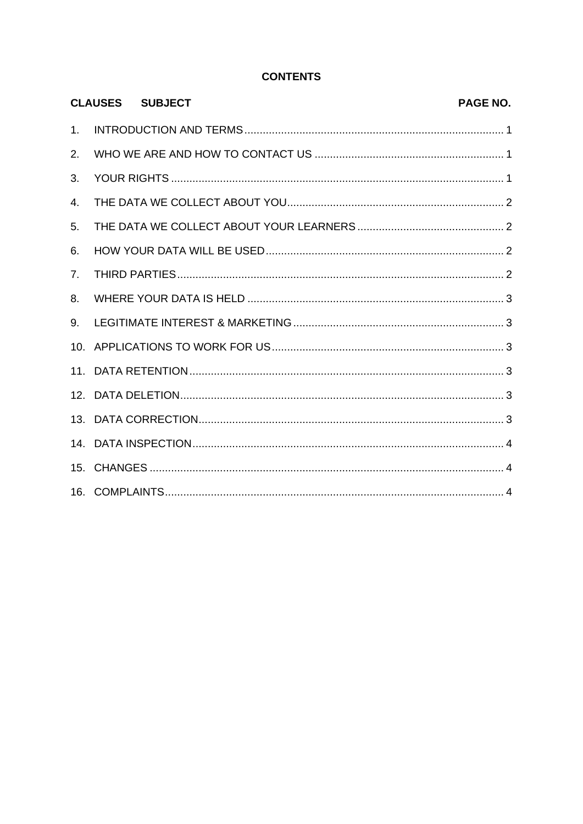# **CONTENTS**

|    | <b>CLAUSES SUBJECT</b> | PAGE NO. |
|----|------------------------|----------|
| 1. |                        |          |
| 2. |                        |          |
| 3. |                        |          |
| 4. |                        |          |
| 5. |                        |          |
| 6. |                        |          |
| 7. |                        |          |
| 8. |                        |          |
| 9. |                        |          |
|    |                        |          |
|    |                        |          |
|    |                        |          |
|    |                        |          |
|    |                        |          |
|    |                        |          |
|    |                        |          |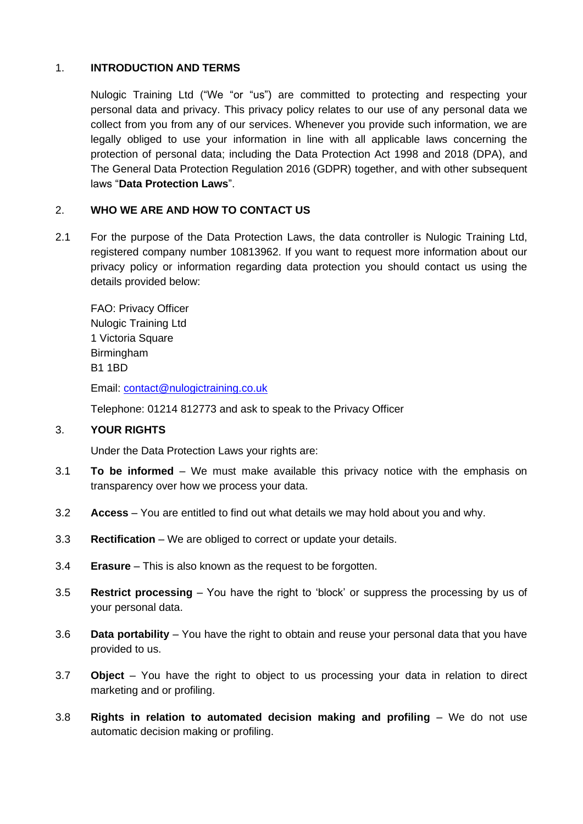## 1. **INTRODUCTION AND TERMS**

Nulogic Training Ltd ("We "or "us") are committed to protecting and respecting your personal data and privacy. This privacy policy relates to our use of any personal data we collect from you from any of our services. Whenever you provide such information, we are legally obliged to use your information in line with all applicable laws concerning the protection of personal data; including the Data Protection Act 1998 and 2018 (DPA), and The General Data Protection Regulation 2016 (GDPR) together, and with other subsequent laws "**Data Protection Laws**".

## 2. **WHO WE ARE AND HOW TO CONTACT US**

2.1 For the purpose of the Data Protection Laws, the data controller is Nulogic Training Ltd, registered company number 10813962. If you want to request more information about our privacy policy or information regarding data protection you should contact us using the details provided below:

FAO: Privacy Officer Nulogic Training Ltd 1 Victoria Square Birmingham B1 1BD

Email: [contact@nulogictraining.co.uk](mailto:contact@nulogictraining.co.uk)

Telephone: 01214 812773 and ask to speak to the Privacy Officer

#### 3. **YOUR RIGHTS**

Under the Data Protection Laws your rights are:

- 3.1 **To be informed** We must make available this privacy notice with the emphasis on transparency over how we process your data.
- 3.2 **Access** You are entitled to find out what details we may hold about you and why.
- 3.3 **Rectification** We are obliged to correct or update your details.
- 3.4 **Erasure** This is also known as the request to be forgotten.
- 3.5 **Restrict processing** You have the right to 'block' or suppress the processing by us of your personal data.
- 3.6 **Data portability** You have the right to obtain and reuse your personal data that you have provided to us.
- 3.7 **Object** You have the right to object to us processing your data in relation to direct marketing and or profiling.
- 3.8 **Rights in relation to automated decision making and profiling** We do not use automatic decision making or profiling.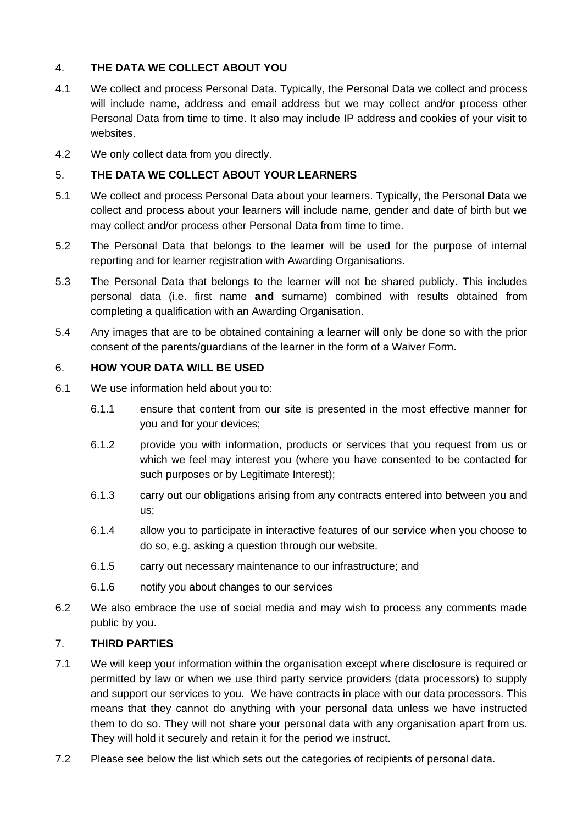# 4. **THE DATA WE COLLECT ABOUT YOU**

- 4.1 We collect and process Personal Data. Typically, the Personal Data we collect and process will include name, address and email address but we may collect and/or process other Personal Data from time to time. It also may include IP address and cookies of your visit to websites.
- 4.2 We only collect data from you directly.

# 5. **THE DATA WE COLLECT ABOUT YOUR LEARNERS**

- 5.1 We collect and process Personal Data about your learners. Typically, the Personal Data we collect and process about your learners will include name, gender and date of birth but we may collect and/or process other Personal Data from time to time.
- 5.2 The Personal Data that belongs to the learner will be used for the purpose of internal reporting and for learner registration with Awarding Organisations.
- 5.3 The Personal Data that belongs to the learner will not be shared publicly. This includes personal data (i.e. first name **and** surname) combined with results obtained from completing a qualification with an Awarding Organisation.
- 5.4 Any images that are to be obtained containing a learner will only be done so with the prior consent of the parents/guardians of the learner in the form of a Waiver Form.

## 6. **HOW YOUR DATA WILL BE USED**

- 6.1 We use information held about you to:
	- 6.1.1 ensure that content from our site is presented in the most effective manner for you and for your devices;
	- 6.1.2 provide you with information, products or services that you request from us or which we feel may interest you (where you have consented to be contacted for such purposes or by Legitimate Interest);
	- 6.1.3 carry out our obligations arising from any contracts entered into between you and us;
	- 6.1.4 allow you to participate in interactive features of our service when you choose to do so, e.g. asking a question through our website.
	- 6.1.5 carry out necessary maintenance to our infrastructure; and
	- 6.1.6 notify you about changes to our services
- 6.2 We also embrace the use of social media and may wish to process any comments made public by you.

#### 7. **THIRD PARTIES**

- 7.1 We will keep your information within the organisation except where disclosure is required or permitted by law or when we use third party service providers (data processors) to supply and support our services to you. We have contracts in place with our data processors. This means that they cannot do anything with your personal data unless we have instructed them to do so. They will not share your personal data with any organisation apart from us. They will hold it securely and retain it for the period we instruct.
- 7.2 Please see below the list which sets out the categories of recipients of personal data.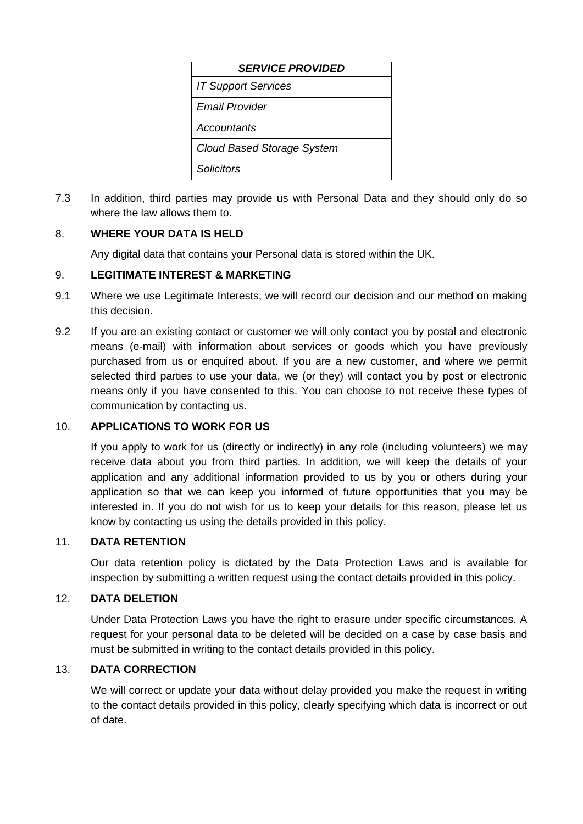| <b>SERVICE PROVIDED</b>           |  |  |  |  |
|-----------------------------------|--|--|--|--|
| <b>IT Support Services</b>        |  |  |  |  |
| Fmail Provider                    |  |  |  |  |
| Accountants                       |  |  |  |  |
| <b>Cloud Based Storage System</b> |  |  |  |  |
| Solicitors                        |  |  |  |  |

7.3 In addition, third parties may provide us with Personal Data and they should only do so where the law allows them to.

# 8. **WHERE YOUR DATA IS HELD**

Any digital data that contains your Personal data is stored within the UK.

## 9. **LEGITIMATE INTEREST & MARKETING**

- 9.1 Where we use Legitimate Interests, we will record our decision and our method on making this decision.
- 9.2 If you are an existing contact or customer we will only contact you by postal and electronic means (e-mail) with information about services or goods which you have previously purchased from us or enquired about. If you are a new customer, and where we permit selected third parties to use your data, we (or they) will contact you by post or electronic means only if you have consented to this. You can choose to not receive these types of communication by contacting us.

# 10. **APPLICATIONS TO WORK FOR US**

If you apply to work for us (directly or indirectly) in any role (including volunteers) we may receive data about you from third parties. In addition, we will keep the details of your application and any additional information provided to us by you or others during your application so that we can keep you informed of future opportunities that you may be interested in. If you do not wish for us to keep your details for this reason, please let us know by contacting us using the details provided in this policy.

#### 11. **DATA RETENTION**

Our data retention policy is dictated by the Data Protection Laws and is available for inspection by submitting a written request using the contact details provided in this policy.

### 12. **DATA DELETION**

Under Data Protection Laws you have the right to erasure under specific circumstances. A request for your personal data to be deleted will be decided on a case by case basis and must be submitted in writing to the contact details provided in this policy.

### 13. **DATA CORRECTION**

We will correct or update your data without delay provided you make the request in writing to the contact details provided in this policy, clearly specifying which data is incorrect or out of date.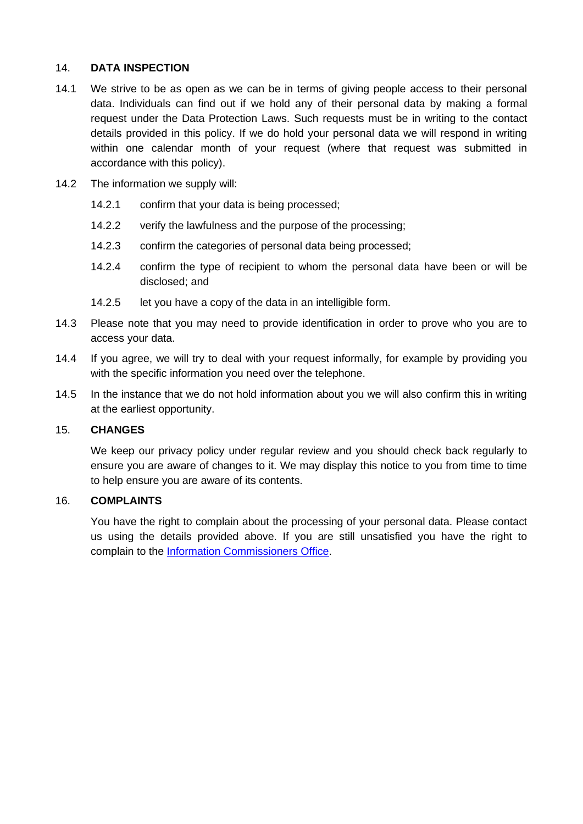# 14. **DATA INSPECTION**

- 14.1 We strive to be as open as we can be in terms of giving people access to their personal data. Individuals can find out if we hold any of their personal data by making a formal request under the Data Protection Laws. Such requests must be in writing to the contact details provided in this policy. If we do hold your personal data we will respond in writing within one calendar month of your request (where that request was submitted in accordance with this policy).
- 14.2 The information we supply will:
	- 14.2.1 confirm that your data is being processed;
	- 14.2.2 verify the lawfulness and the purpose of the processing;
	- 14.2.3 confirm the categories of personal data being processed;
	- 14.2.4 confirm the type of recipient to whom the personal data have been or will be disclosed; and
	- 14.2.5 let you have a copy of the data in an intelligible form.
- 14.3 Please note that you may need to provide identification in order to prove who you are to access your data.
- 14.4 If you agree, we will try to deal with your request informally, for example by providing you with the specific information you need over the telephone.
- 14.5 In the instance that we do not hold information about you we will also confirm this in writing at the earliest opportunity.

#### 15. **CHANGES**

We keep our privacy policy under regular review and you should check back regularly to ensure you are aware of changes to it. We may display this notice to you from time to time to help ensure you are aware of its contents.

### 16. **COMPLAINTS**

You have the right to complain about the processing of your personal data. Please contact us using the details provided above. If you are still unsatisfied you have the right to complain to the [Information Commissioners Office.](http://www.ico.gov.uk/)